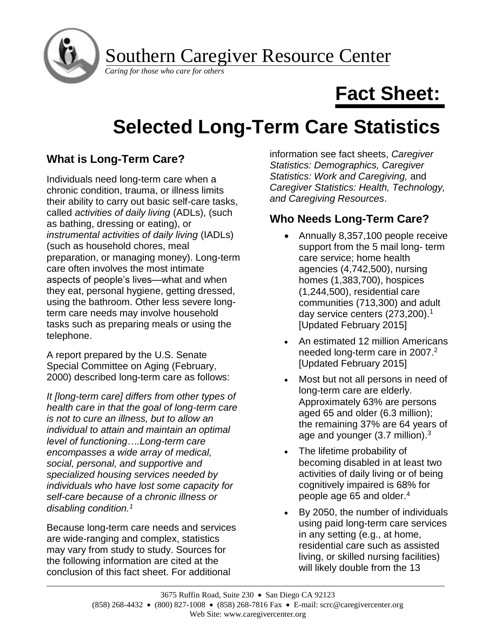Southern Caregiver Resource Center

*Caring for those who care for others*

# **Fact Sheet:**

# **Selected Long-Term Care Statistics**

## **What is Long-Term Care?**

Individuals need long-term care when a chronic condition, trauma, or illness limits their ability to carry out basic self-care tasks, called *activities of daily living* (ADLs), (such as bathing, dressing or eating), or *instrumental activities of daily living* (IADLs) (such as household chores, meal preparation, or managing money). Long-term care often involves the most intimate aspects of people's lives—what and when they eat, personal hygiene, getting dressed, using the bathroom. Other less severe longterm care needs may involve household tasks such as preparing meals or using the telephone.

A report prepared by the U.S. Senate Special Committee on Aging (February, 2000) described long-term care as follows:

*It [long-term care] differs from other types of health care in that the goal of long-term care is not to cure an illness, but to allow an individual to attain and maintain an optimal level of functioning….Long-term care encompasses a wide array of medical, social, personal, and supportive and specialized housing services needed by individuals who have lost some capacity for self-care because of a chronic illness or disabling condition.<sup>1</sup>*

Because long-term care needs and services are wide-ranging and complex, statistics may vary from study to study. Sources for the following information are cited at the conclusion of this fact sheet. For additional

information see fact sheets, *Caregiver Statistics: Demographics, Caregiver Statistics: Work and Caregiving,* and *Caregiver Statistics: Health, Technology, and Caregiving Resources*.

## **Who Needs Long-Term Care?**

- Annually 8,357,100 people receive support from the 5 mail long- term care service; home health agencies (4,742,500), nursing homes (1,383,700), hospices (1,244,500), residential care communities (713,300) and adult day service centers (273,200).<sup>1</sup> [Updated February 2015]
- An estimated 12 million Americans needed long-term care in 2007.<sup>2</sup> [Updated February 2015]
- Most but not all persons in need of long-term care are elderly. Approximately 63% are persons aged 65 and older (6.3 million); the remaining 37% are 64 years of age and younger  $(3.7 \text{ million})$ .<sup>3</sup>
- The lifetime probability of becoming disabled in at least two activities of daily living or of being cognitively impaired is 68% for people age 65 and older.<sup>4</sup>
- By 2050, the number of individuals using paid long-term care services in any setting (e.g., at home, residential care such as assisted living, or skilled nursing facilities) will likely double from the 13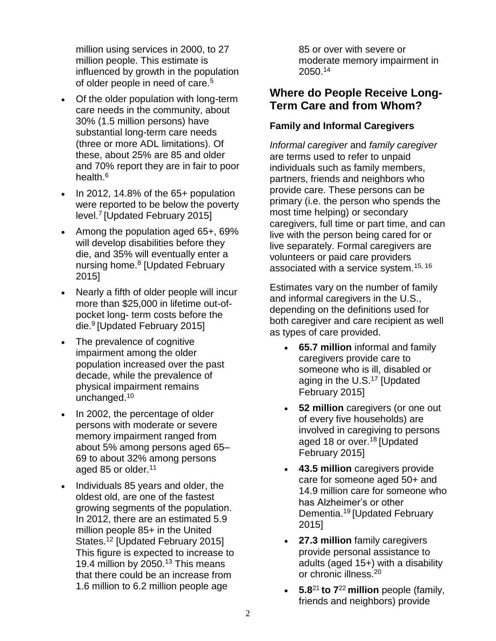million using services in 2000, to 27 million people. This estimate is influenced by growth in the population of older people in need of care.<sup>5</sup>

- Of the older population with long-term care needs in the community, about 30% (1.5 million persons) have substantial long-term care needs (three or more ADL limitations). Of these, about 25% are 85 and older and 70% report they are in fair to poor health.<sup>6</sup>
- In 2012, 14.8% of the 65+ population were reported to be below the poverty level.<sup>7</sup> [Updated February 2015]
- Among the population aged 65+, 69% will develop disabilities before they die, and 35% will eventually enter a nursing home.<sup>8</sup> [Updated February 2015]
- Nearly a fifth of older people will incur more than \$25,000 in lifetime out-ofpocket long- term costs before the die.<sup>9</sup> [Updated February 2015]
- The prevalence of cognitive impairment among the older population increased over the past decade, while the prevalence of physical impairment remains unchanged.<sup>10</sup>
- In 2002, the percentage of older persons with moderate or severe memory impairment ranged from about 5% among persons aged 65– 69 to about 32% among persons aged 85 or older.<sup>11</sup>
- Individuals 85 years and older, the oldest old, are one of the fastest growing segments of the population. In 2012, there are an estimated 5.9 million people 85+ in the United States.<sup>12</sup> [Updated February 2015] This figure is expected to increase to 19.4 million by 2050.<sup>13</sup> This means that there could be an increase from 1.6 million to 6.2 million people age

85 or over with severe or moderate memory impairment in 2050.<sup>14</sup>

### **Where do People Receive Long-Term Care and from Whom?**

#### **Family and Informal Caregivers**

*Informal caregiver* and *family caregiver* are terms used to refer to unpaid individuals such as family members, partners, friends and neighbors who provide care. These persons can be primary (i.e. the person who spends the most time helping) or secondary caregivers, full time or part time, and can live with the person being cared for or live separately. Formal caregivers are volunteers or paid care providers associated with a service system.15, 16

Estimates vary on the number of family and informal caregivers in the U.S., depending on the definitions used for both caregiver and care recipient as well as types of care provided.

- **65.7 million** informal and family caregivers provide care to someone who is ill, disabled or aging in the U.S.<sup>17</sup> [Updated February 2015]
- **52 million** caregivers (or one out of every five households) are involved in caregiving to persons aged 18 or over.<sup>18</sup> [Updated] February 2015]
- **43.5 million** caregivers provide care for someone aged 50+ and 14.9 million care for someone who has Alzheimer's or other Dementia.<sup>19</sup> [Updated February 2015]
- **27.3 million** family caregivers provide personal assistance to adults (aged 15+) with a disability or chronic illness.<sup>20</sup>
- **5.8**<sup>21</sup> **to 7**<sup>22</sup> **million** people (family, friends and neighbors) provide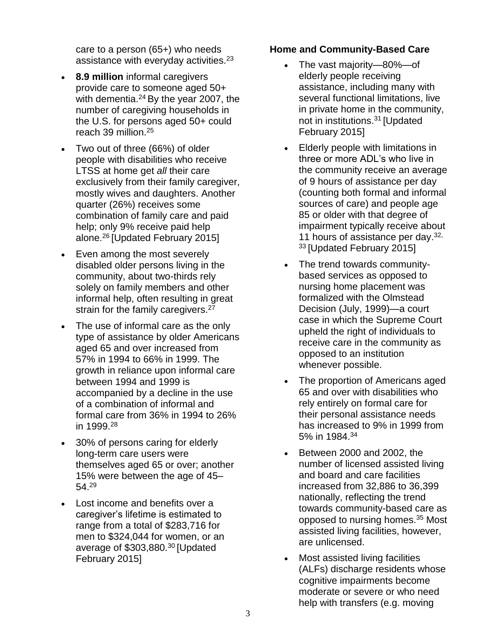care to a person (65+) who needs assistance with everyday activities.<sup>23</sup>

- **8.9 million** informal caregivers provide care to someone aged 50+ with dementia.<sup>24</sup> By the year 2007, the number of caregiving households in the U.S. for persons aged 50+ could reach 39 million.<sup>25</sup>
- Two out of three (66%) of older people with disabilities who receive LTSS at home get *all* their care exclusively from their family caregiver, mostly wives and daughters. Another quarter (26%) receives some combination of family care and paid help; only 9% receive paid help alone.<sup>26</sup> [Updated February 2015]
- Even among the most severely disabled older persons living in the community, about two-thirds rely solely on family members and other informal help, often resulting in great strain for the family caregivers.<sup>27</sup>
- The use of informal care as the only type of assistance by older Americans aged 65 and over increased from 57% in 1994 to 66% in 1999. The growth in reliance upon informal care between 1994 and 1999 is accompanied by a decline in the use of a combination of informal and formal care from 36% in 1994 to 26% in 1999.<sup>28</sup>
- 30% of persons caring for elderly long-term care users were themselves aged 65 or over; another 15% were between the age of 45– 54.<sup>29</sup>
- Lost income and benefits over a caregiver's lifetime is estimated to range from a total of \$283,716 for men to \$324,044 for women, or an average of \$303,880.<sup>30</sup> [Updated] February 2015]

#### **Home and Community-Based Care**

- The vast majority—80%—of elderly people receiving assistance, including many with several functional limitations, live in private home in the community, not in institutions. <sup>31</sup> [Updated February 2015]
- Elderly people with limitations in three or more ADL's who live in the community receive an average of 9 hours of assistance per day (counting both formal and informal sources of care) and people age 85 or older with that degree of impairment typically receive about 11 hours of assistance per day. 32, <sup>33</sup> [Updated February 2015]
- The trend towards communitybased services as opposed to nursing home placement was formalized with the Olmstead Decision (July, 1999)—a court case in which the Supreme Court upheld the right of individuals to receive care in the community as opposed to an institution whenever possible.
- The proportion of Americans aged 65 and over with disabilities who rely entirely on formal care for their personal assistance needs has increased to 9% in 1999 from 5% in 1984.<sup>34</sup>
- Between 2000 and 2002, the number of licensed assisted living and board and care facilities increased from 32,886 to 36,399 nationally, reflecting the trend towards community-based care as opposed to nursing homes.<sup>35</sup> Most assisted living facilities, however, are unlicensed.
- Most assisted living facilities (ALFs) discharge residents whose cognitive impairments become moderate or severe or who need help with transfers (e.g. moving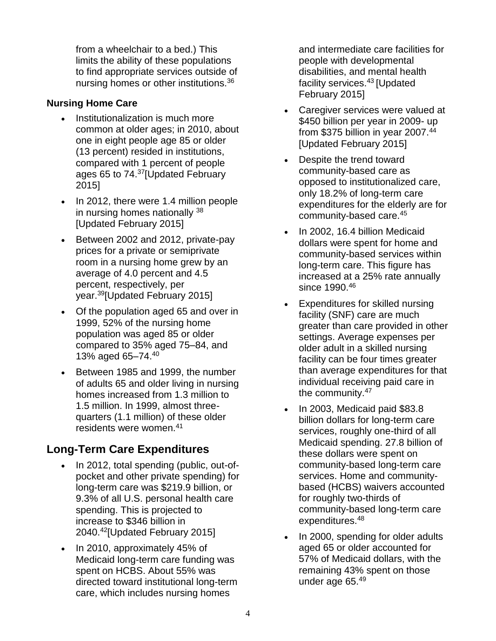from a wheelchair to a bed.) This limits the ability of these populations to find appropriate services outside of nursing homes or other institutions.<sup>36</sup>

#### **Nursing Home Care**

- Institutionalization is much more common at older ages; in 2010, about one in eight people age 85 or older (13 percent) resided in institutions, compared with 1 percent of people ages 65 to 74.<sup>37</sup>[Updated February 2015]
- In 2012, there were 1.4 million people in nursing homes nationally <sup>38</sup> [Updated February 2015]
- Between 2002 and 2012, private-pay prices for a private or semiprivate room in a nursing home grew by an average of 4.0 percent and 4.5 percent, respectively, per year.<sup>39</sup>[Updated February 2015]
- Of the population aged 65 and over in 1999, 52% of the nursing home population was aged 85 or older compared to 35% aged 75–84, and 13% aged 65–74.<sup>40</sup>
- Between 1985 and 1999, the number of adults 65 and older living in nursing homes increased from 1.3 million to 1.5 million. In 1999, almost threequarters (1.1 million) of these older residents were women.<sup>41</sup>

## **Long-Term Care Expenditures**

- In 2012, total spending (public, out-ofpocket and other private spending) for long-term care was \$219.9 billion, or 9.3% of all U.S. personal health care spending. This is projected to increase to \$346 billion in 2040.<sup>42</sup>[Updated February 2015]
- In 2010, approximately 45% of Medicaid long-term care funding was spent on HCBS. About 55% was directed toward institutional long-term care, which includes nursing homes

and intermediate care facilities for people with developmental disabilities, and mental health facility services.<sup>43</sup> [Updated] February 2015]

- Caregiver services were valued at \$450 billion per year in 2009- up from \$375 billion in year 2007.<sup>44</sup> [Updated February 2015]
- Despite the trend toward community-based care as opposed to institutionalized care, only 18.2% of long-term care expenditures for the elderly are for community-based care.<sup>45</sup>
- In 2002, 16.4 billion Medicaid dollars were spent for home and community-based services within long-term care. This figure has increased at a 25% rate annually since 1990.<sup>46</sup>
- Expenditures for skilled nursing facility (SNF) care are much greater than care provided in other settings. Average expenses per older adult in a skilled nursing facility can be four times greater than average expenditures for that individual receiving paid care in the community.<sup>47</sup>
- In 2003, Medicaid paid \$83.8 billion dollars for long-term care services, roughly one-third of all Medicaid spending. 27.8 billion of these dollars were spent on community-based long-term care services. Home and communitybased (HCBS) waivers accounted for roughly two-thirds of community-based long-term care expenditures.<sup>48</sup>
- In 2000, spending for older adults aged 65 or older accounted for 57% of Medicaid dollars, with the remaining 43% spent on those under age 65.49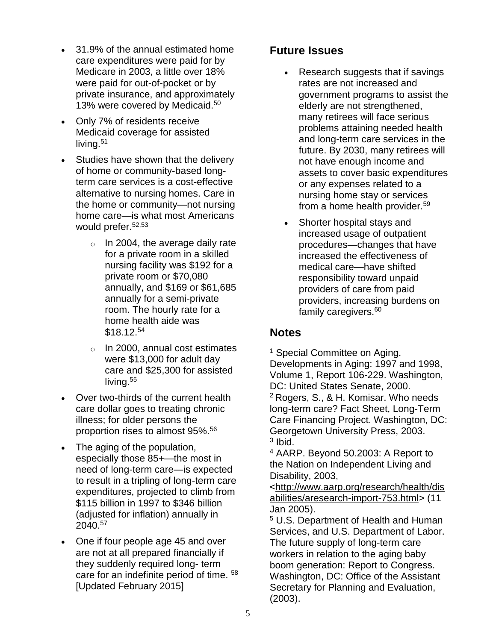- 31.9% of the annual estimated home care expenditures were paid for by Medicare in 2003, a little over 18% were paid for out-of-pocket or by private insurance, and approximately 13% were covered by Medicaid.<sup>50</sup>
- Only 7% of residents receive Medicaid coverage for assisted living.<sup>51</sup>
- Studies have shown that the delivery of home or community-based longterm care services is a cost-effective alternative to nursing homes. Care in the home or community—not nursing home care—is what most Americans would prefer.52,53
	- $\circ$  In 2004, the average daily rate for a private room in a skilled nursing facility was \$192 for a private room or \$70,080 annually, and \$169 or \$61,685 annually for a semi-private room. The hourly rate for a home health aide was \$18.12.<sup>54</sup>
	- o In 2000, annual cost estimates were \$13,000 for adult day care and \$25,300 for assisted living.<sup>55</sup>
- Over two-thirds of the current health care dollar goes to treating chronic illness; for older persons the proportion rises to almost 95%.<sup>56</sup>
- The aging of the population, especially those 85+—the most in need of long-term care—is expected to result in a tripling of long-term care expenditures, projected to climb from \$115 billion in 1997 to \$346 billion (adjusted for inflation) annually in 2040.<sup>57</sup>
- One if four people age 45 and over are not at all prepared financially if they suddenly required long- term care for an indefinite period of time. <sup>58</sup> [Updated February 2015]

## **Future Issues**

- Research suggests that if savings rates are not increased and government programs to assist the elderly are not strengthened, many retirees will face serious problems attaining needed health and long-term care services in the future. By 2030, many retirees will not have enough income and assets to cover basic expenditures or any expenses related to a nursing home stay or services from a home health provider.<sup>59</sup>
- Shorter hospital stays and increased usage of outpatient procedures—changes that have increased the effectiveness of medical care—have shifted responsibility toward unpaid providers of care from paid providers, increasing burdens on family caregivers.<sup>60</sup>

### **Notes**

<sup>1</sup> Special Committee on Aging. Developments in Aging: 1997 and 1998, Volume 1, Report 106-229. Washington, DC: United States Senate, 2000. <sup>2</sup> Rogers, S., & H. Komisar. Who needs long-term care? Fact Sheet, Long-Term Care Financing Project. Washington, DC: Georgetown University Press, 2003. <sup>3</sup> Ibid.

<sup>4</sup> AARP. Beyond 50.2003: A Report to the Nation on Independent Living and Disability, 2003,

[<http://www.aarp.org/research/health/dis](http://www.aarp.org/research/health/disabilities/aresearch-import-753.html) [abilities/aresearch-import-753.html>](http://www.aarp.org/research/health/disabilities/aresearch-import-753.html) (11 Jan 2005).

<sup>5</sup> U.S. Department of Health and Human Services, and U.S. Department of Labor. The future supply of long-term care workers in relation to the aging baby boom generation: Report to Congress. Washington, DC: Office of the Assistant Secretary for Planning and Evaluation, (2003).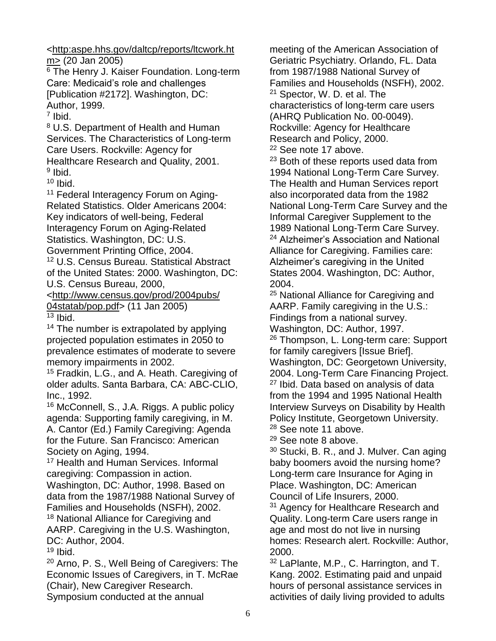[<http:aspe.hhs.gov/daltcp/reports/ltcwork.ht](http://aspe.hhs.gov/daltcp/reports/ltcwork.htm%3E) [m>](http://aspe.hhs.gov/daltcp/reports/ltcwork.htm%3E) (20 Jan 2005)

<sup>6</sup> The Henry J. Kaiser Foundation. Long-term Care: Medicaid's role and challenges [Publication #2172]. Washington, DC: Author, 1999.

7 Ibid.

<sup>8</sup> U.S. Department of Health and Human Services. The Characteristics of Long-term Care Users. Rockville: Agency for Healthcare Research and Quality, 2001. <sup>9</sup> Ibid.

 $10$  Ibid.

<sup>11</sup> Federal Interagency Forum on Aging-Related Statistics. Older Americans 2004: Key indicators of well-being, Federal Interagency Forum on Aging-Related Statistics. Washington, DC: U.S. Government Printing Office, 2004.

<sup>12</sup> U.S. Census Bureau. Statistical Abstract of the United States: 2000. Washington, DC: U.S. Census Bureau, 2000,

[<http://www.census.gov/prod/2004pubs/](http://www.census.gov/prod/2004pubs/04statab/pop.pdf) [04statab/pop.pdf>](http://www.census.gov/prod/2004pubs/04statab/pop.pdf) (11 Jan 2005)  $\overline{^{13}}$  Ibid.

<sup>14</sup> The number is extrapolated by applying projected population estimates in 2050 to prevalence estimates of moderate to severe memory impairments in 2002.

<sup>15</sup> Fradkin, L.G., and A. Heath. Caregiving of older adults. Santa Barbara, CA: ABC-CLIO, Inc., 1992.

<sup>16</sup> McConnell, S., J.A. Riggs. A public policy agenda: Supporting family caregiving, in M. A. Cantor (Ed.) Family Caregiving: Agenda for the Future. San Francisco: American Society on Aging, 1994.

<sup>17</sup> Health and Human Services. Informal caregiving: Compassion in action.

Washington, DC: Author, 1998. Based on data from the 1987/1988 National Survey of Families and Households (NSFH), 2002. <sup>18</sup> National Alliance for Caregiving and

AARP. Caregiving in the U.S. Washington, DC: Author, 2004.

 $19$  Ibid.

<sup>20</sup> Arno, P. S., Well Being of Caregivers: The Economic Issues of Caregivers, in T. McRae (Chair), New Caregiver Research. Symposium conducted at the annual

meeting of the American Association of Geriatric Psychiatry. Orlando, FL. Data from 1987/1988 National Survey of Families and Households (NSFH), 2002. <sup>21</sup> Spector, W. D. et al. The characteristics of long-term care users

(AHRQ Publication No. 00-0049). Rockville: Agency for Healthcare Research and Policy, 2000.

<sup>22</sup> See note 17 above.

<sup>23</sup> Both of these reports used data from 1994 National Long-Term Care Survey. The Health and Human Services report also incorporated data from the 1982 National Long-Term Care Survey and the Informal Caregiver Supplement to the 1989 National Long-Term Care Survey. <sup>24</sup> Alzheimer's Association and National Alliance for Caregiving. Families care: Alzheimer's caregiving in the United States 2004. Washington, DC: Author, 2004.

<sup>25</sup> National Alliance for Caregiving and AARP. Family caregiving in the U.S.: Findings from a national survey. Washington, DC: Author, 1997.

<sup>26</sup> Thompson, L. Long-term care: Support for family caregivers [Issue Brief]. Washington, DC: Georgetown University, 2004. Long-Term Care Financing Project. <sup>27</sup> Ibid. Data based on analysis of data from the 1994 and 1995 National Health Interview Surveys on Disability by Health Policy Institute, Georgetown University. <sup>28</sup> See note 11 above.

<sup>29</sup> See note 8 above.

<sup>30</sup> Stucki, B. R., and J. Mulver. Can aging baby boomers avoid the nursing home? Long-term care Insurance for Aging in Place. Washington, DC: American Council of Life Insurers, 2000.

<sup>31</sup> Agency for Healthcare Research and Quality. Long-term Care users range in age and most do not live in nursing homes: Research alert. Rockville: Author, 2000.

<sup>32</sup> LaPlante, M.P., C. Harrington, and T. Kang. 2002. Estimating paid and unpaid hours of personal assistance services in activities of daily living provided to adults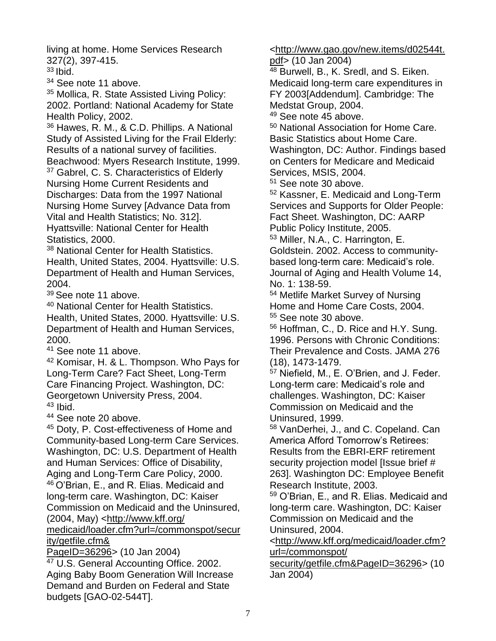living at home. Home Services Research 327(2), 397-415.

 $33$  Ibid.

<sup>34</sup> See note 11 above.

<sup>35</sup> Mollica, R. State Assisted Living Policy: 2002. Portland: National Academy for State Health Policy, 2002.

<sup>36</sup> Hawes, R. M., & C.D. Phillips. A National Study of Assisted Living for the Frail Elderly: Results of a national survey of facilities.

Beachwood: Myers Research Institute, 1999. <sup>37</sup> Gabrel, C. S. Characteristics of Elderly

Nursing Home Current Residents and Discharges: Data from the 1997 National Nursing Home Survey [Advance Data from Vital and Health Statistics; No. 312]. Hyattsville: National Center for Health Statistics, 2000.

38 National Center for Health Statistics. Health, United States, 2004. Hyattsville: U.S. Department of Health and Human Services, 2004.

<sup>39</sup> See note 11 above.

<sup>40</sup> National Center for Health Statistics. Health, United States, 2000. Hyattsville: U.S. Department of Health and Human Services, 2000.

<sup>41</sup> See note 11 above.

<sup>42</sup> Komisar, H. & L. Thompson. Who Pays for Long-Term Care? Fact Sheet, Long-Term Care Financing Project. Washington, DC: Georgetown University Press, 2004.  $43$  Ibid.

<sup>44</sup> See note 20 above.

<sup>45</sup> Doty, P. Cost-effectiveness of Home and Community-based Long-term Care Services. Washington, DC: U.S. Department of Health and Human Services: Office of Disability, Aging and Long-Term Care Policy, 2000. <sup>46</sup>O'Brian, E., and R. Elias. Medicaid and long-term care. Washington, DC: Kaiser Commission on Medicaid and the Uninsured, (2004, May) [<http://www.kff.org/](http://www.kff.org/medicaid/loader.cfm?url=/commonspot/security/getfile.cfm&PageID=36296)

[medicaid/loader.cfm?url=/commonspot/secur](http://www.kff.org/medicaid/loader.cfm?url=/commonspot/security/getfile.cfm&PageID=36296) [ity/getfile.cfm&](http://www.kff.org/medicaid/loader.cfm?url=/commonspot/security/getfile.cfm&PageID=36296)

[PageID=36296>](http://www.kff.org/medicaid/loader.cfm?url=/commonspot/security/getfile.cfm&PageID=36296) (10 Jan 2004)

<sup>47</sup> U.S. General Accounting Office. 2002. Aging Baby Boom Generation Will Increase Demand and Burden on Federal and State budgets [GAO-02-544T].

[<http://www.gao.gov/new.items/d02544t.](http://www.gao.gov/new.items/d02544t.pdf)

[pdf>](http://www.gao.gov/new.items/d02544t.pdf) (10 Jan 2004)

<sup>48</sup> Burwell, B., K. Sredl, and S. Eiken. Medicaid long-term care expenditures in FY 2003[Addendum]. Cambridge: The Medstat Group, 2004.

<sup>49</sup> See note 45 above.

<sup>50</sup> National Association for Home Care. Basic Statistics about Home Care. Washington, DC: Author. Findings based on Centers for Medicare and Medicaid Services, MSIS, 2004.

<sup>51</sup> See note 30 above.

<sup>52</sup> Kassner, E. Medicaid and Long-Term Services and Supports for Older People: Fact Sheet. Washington, DC: AARP Public Policy Institute, 2005.

<sup>53</sup> Miller, N.A., C. Harrington, E.

Goldstein. 2002. Access to communitybased long-term care: Medicaid's role. Journal of Aging and Health Volume 14, No. 1: 138-59.

<sup>54</sup> Metlife Market Survey of Nursing Home and Home Care Costs, 2004. <sup>55</sup> See note 30 above.

<sup>56</sup> Hoffman, C., D. Rice and H.Y. Sung. 1996. Persons with Chronic Conditions: Their Prevalence and Costs. JAMA 276 (18), 1473-1479.

<sup>57</sup> Niefield, M., E. O'Brien, and J. Feder. Long-term care: Medicaid's role and challenges. Washington, DC: Kaiser Commission on Medicaid and the Uninsured, 1999.

<sup>58</sup> VanDerhei, J., and C. Copeland. Can America Afford Tomorrow's Retirees: Results from the EBRI-ERF retirement security projection model [Issue brief # 263]. Washington DC: Employee Benefit Research Institute, 2003.

<sup>59</sup> O'Brian, E., and R. Elias. Medicaid and long-term care. Washington, DC: Kaiser Commission on Medicaid and the Uninsured, 2004.

[<http://www.kff.org/medicaid/loader.cfm?](http://www.kff.org/medicaid/loader.cfm?url=/commonspot/security/getfile.cfm&PageID=36296) [url=/commonspot/](http://www.kff.org/medicaid/loader.cfm?url=/commonspot/security/getfile.cfm&PageID=36296)

[security/getfile.cfm&PageID=36296>](http://www.kff.org/medicaid/loader.cfm?url=/commonspot/security/getfile.cfm&PageID=36296) (10 Jan 2004)